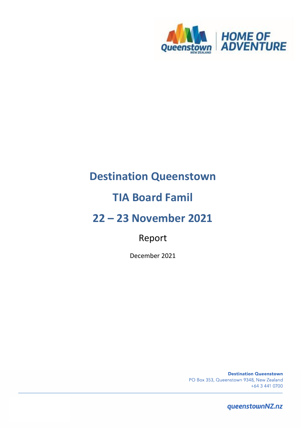

# **Destination Queenstown**

# **TIA Board Famil**

# **22 – 23 November 2021**

# Report

December 2021

**Destination Queenstown** PO Box 353, Queenstown 9348, New Zealand +64 3 441 0700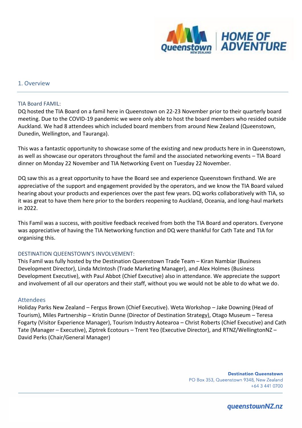

### 1. Overview

#### TIA Board FAMIL:

DQ hosted the TIA Board on a famil here in Queenstown on 22-23 November prior to their quarterly board meeting. Due to the COVID-19 pandemic we were only able to host the board members who resided outside Auckland. We had 8 attendees which included board members from around New Zealand (Queenstown, Dunedin, Wellington, and Tauranga).

This was a fantastic opportunity to showcase some of the existing and new products here in in Queenstown, as well as showcase our operators throughout the famil and the associated networking events – TIA Board dinner on Monday 22 November and TIA Networking Event on Tuesday 22 November.

DQ saw this as a great opportunity to have the Board see and experience Queenstown firsthand. We are appreciative of the support and engagement provided by the operators, and we know the TIA Board valued hearing about your products and experiences over the past few years. DQ works collaboratively with TIA, so it was great to have them here prior to the borders reopening to Auckland, Oceania, and long-haul markets in 2022.

This Famil was a success, with positive feedback received from both the TIA Board and operators. Everyone was appreciative of having the TIA Networking function and DQ were thankful for Cath Tate and TIA for organising this.

### DESTINATION QUEENSTOWN'S INVOLVEMENT:

This Famil was fully hosted by the Destination Queenstown Trade Team – Kiran Nambiar (Business Development Director), Linda McIntosh (Trade Marketing Manager), and Alex Holmes (Business Development Executive), with Paul Abbot (Chief Executive) also in attendance. We appreciate the support and involvement of all our operators and their staff, without you we would not be able to do what we do.

#### Attendees

Holiday Parks New Zealand – Fergus Brown (Chief Executive). Weta Workshop – Jake Downing (Head of Tourism), Miles Partnership – Kristin Dunne (Director of Destination Strategy), Otago Museum – Teresa Fogarty (Visitor Experience Manager), Tourism Industry Aotearoa – Christ Roberts (Chief Executive) and Cath Tate (Manager – Executive), Ziptrek Ecotours – Trent Yeo (Executive Director), and RTNZ/WellingtonNZ – David Perks (Chair/General Manager)

> **Destination Queenstown** PO Box 353, Queenstown 9348, New Zealand +64 3 441 0700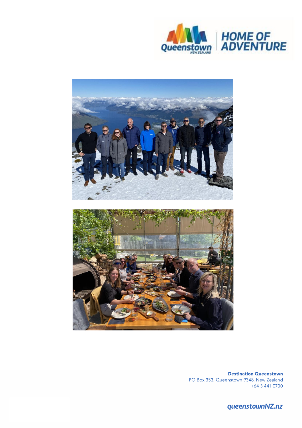



**Destination Queenstown** PO Box 353, Queenstown 9348, New Zealand +64 3 441 0700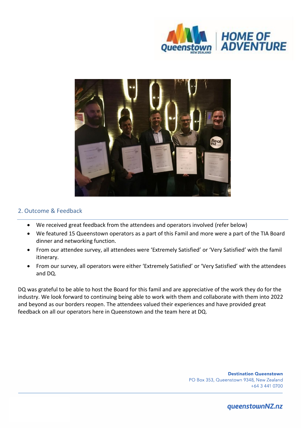



## 2. Outcome & Feedback

- We received great feedback from the attendees and operators involved (refer below)
- We featured 15 Queenstown operators as a part of this Famil and more were a part of the TIA Board dinner and networking function.
- From our attendee survey, all attendees were 'Extremely Satisfied' or 'Very Satisfied' with the famil itinerary.
- From our survey, all operators were either 'Extremely Satisfied' or 'Very Satisfied' with the attendees and DQ.

DQ was grateful to be able to host the Board for this famil and are appreciative of the work they do for the industry. We look forward to continuing being able to work with them and collaborate with them into 2022 and beyond as our borders reopen. The attendees valued their experiences and have provided great feedback on all our operators here in Queenstown and the team here at DQ.

> **Destination Queenstown** PO Box 353, Queenstown 9348, New Zealand +64 3 441 0700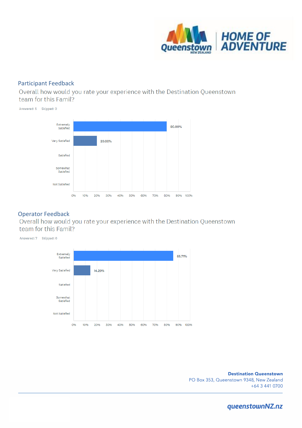

## Participant Feedback

Overall how would you rate your experience with the Destination Queenstown team for this Famil?



Operator Feedback<br>Overall how would you rate your experience with the Destination Queenstown team for this Famil?

Answered: 7 Skipped: 0 Extremely 85.71% Satisfied Very Satisfied 14.29% Satisfied Somewhat Satisfied Not Satisfied O% 10% 20% 30% 40% 50% 60% 70% 80% 90% 100%

> **Destination Queenstown** PO Box 353, Queenstown 9348, New Zealand +64 3 441 0700